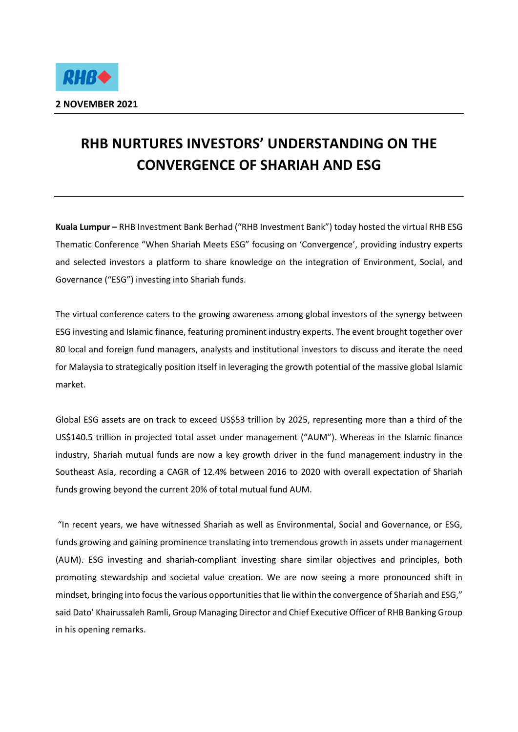

## **RHB NURTURES INVESTORS' UNDERSTANDING ON THE CONVERGENCE OF SHARIAH AND ESG**

**Kuala Lumpur –** RHB Investment Bank Berhad ("RHB Investment Bank") today hosted the virtual RHB ESG Thematic Conference "When Shariah Meets ESG" focusing on 'Convergence', providing industry experts and selected investors a platform to share knowledge on the integration of Environment, Social, and Governance ("ESG") investing into Shariah funds.

The virtual conference caters to the growing awareness among global investors of the synergy between ESG investing and Islamic finance, featuring prominent industry experts. The event brought together over 80 local and foreign fund managers, analysts and institutional investors to discuss and iterate the need for Malaysia to strategically position itself in leveraging the growth potential of the massive global Islamic market.

Global ESG assets are on track to exceed US\$53 trillion by 2025, representing more than a third of the US\$140.5 trillion in projected total asset under management ("AUM"). Whereas in the Islamic finance industry, Shariah mutual funds are now a key growth driver in the fund management industry in the Southeast Asia, recording a CAGR of 12.4% between 2016 to 2020 with overall expectation of Shariah funds growing beyond the current 20% of total mutual fund AUM.

"In recent years, we have witnessed Shariah as well as Environmental, Social and Governance, or ESG, funds growing and gaining prominence translating into tremendous growth in assets under management (AUM). ESG investing and shariah-compliant investing share similar objectives and principles, both promoting stewardship and societal value creation. We are now seeing a more pronounced shift in mindset, bringing into focus the various opportunities that lie within the convergence of Shariah and ESG," said Dato' Khairussaleh Ramli, Group Managing Director and Chief Executive Officer of RHB Banking Group in his opening remarks.